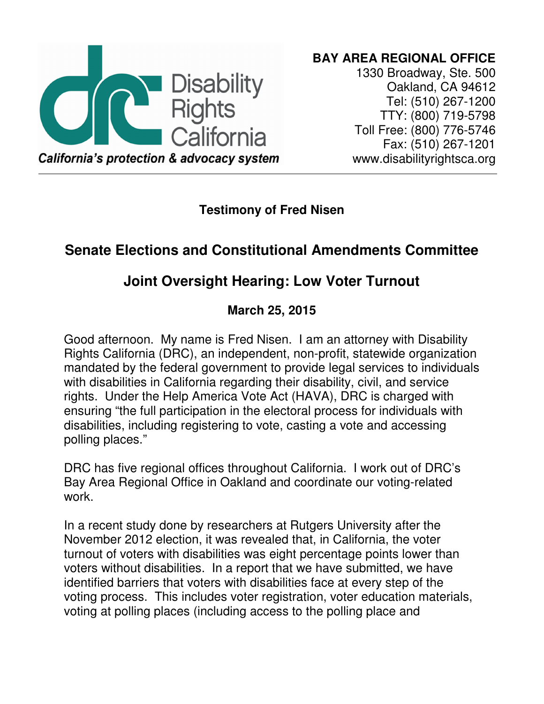

**BAY AREA REGIONAL OFFICE**  1330 Broadway, Ste. 500 Oakland, CA 94612 Tel: (510) 267-1200 TTY: (800) 719-5798 Toll Free: (800) 776-5746 Fax: (510) 267-1201 www.disabilityrightsca.org

**Testimony of Fred Nisen** 

## **Senate Elections and Constitutional Amendments Committee**

## **Joint Oversight Hearing: Low Voter Turnout**

## **March 25, 2015**

Good afternoon. My name is Fred Nisen. I am an attorney with Disability Rights California (DRC), an independent, non-profit, statewide organization mandated by the federal government to provide legal services to individuals with disabilities in California regarding their disability, civil, and service rights. Under the Help America Vote Act (HAVA), DRC is charged with ensuring "the full participation in the electoral process for individuals with disabilities, including registering to vote, casting a vote and accessing polling places."

DRC has five regional offices throughout California. I work out of DRC's Bay Area Regional Office in Oakland and coordinate our voting-related work.

In a recent study done by researchers at Rutgers University after the November 2012 election, it was revealed that, in California, the voter turnout of voters with disabilities was eight percentage points lower than voters without disabilities. In a report that we have submitted, we have identified barriers that voters with disabilities face at every step of the voting process. This includes voter registration, voter education materials, voting at polling places (including access to the polling place and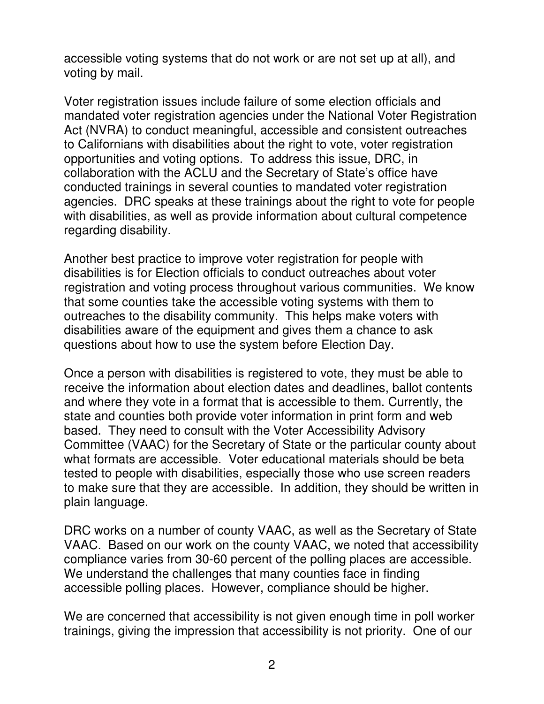accessible voting systems that do not work or are not set up at all), and voting by mail.

Voter registration issues include failure of some election officials and mandated voter registration agencies under the National Voter Registration Act (NVRA) to conduct meaningful, accessible and consistent outreaches to Californians with disabilities about the right to vote, voter registration opportunities and voting options. To address this issue, DRC, in collaboration with the ACLU and the Secretary of State's office have conducted trainings in several counties to mandated voter registration agencies. DRC speaks at these trainings about the right to vote for people with disabilities, as well as provide information about cultural competence regarding disability.

Another best practice to improve voter registration for people with disabilities is for Election officials to conduct outreaches about voter registration and voting process throughout various communities. We know that some counties take the accessible voting systems with them to outreaches to the disability community. This helps make voters with disabilities aware of the equipment and gives them a chance to ask questions about how to use the system before Election Day.

Once a person with disabilities is registered to vote, they must be able to receive the information about election dates and deadlines, ballot contents and where they vote in a format that is accessible to them. Currently, the state and counties both provide voter information in print form and web based. They need to consult with the Voter Accessibility Advisory Committee (VAAC) for the Secretary of State or the particular county about what formats are accessible. Voter educational materials should be beta tested to people with disabilities, especially those who use screen readers to make sure that they are accessible. In addition, they should be written in plain language.

DRC works on a number of county VAAC, as well as the Secretary of State VAAC. Based on our work on the county VAAC, we noted that accessibility compliance varies from 30-60 percent of the polling places are accessible. We understand the challenges that many counties face in finding accessible polling places. However, compliance should be higher.

We are concerned that accessibility is not given enough time in poll worker trainings, giving the impression that accessibility is not priority. One of our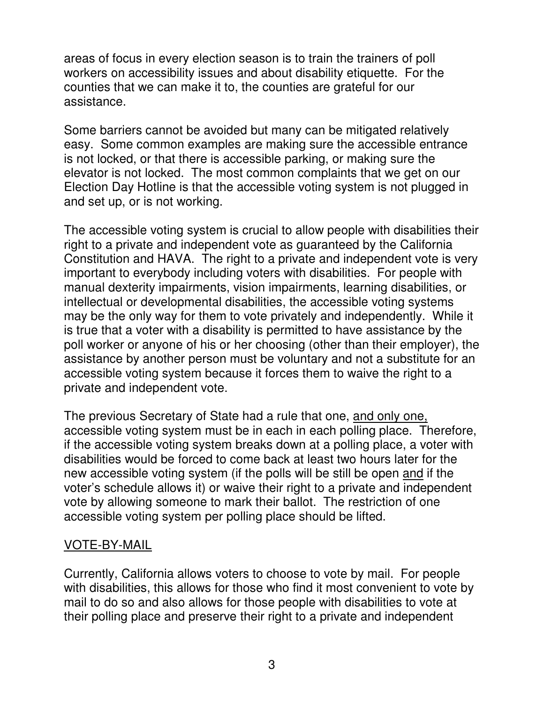areas of focus in every election season is to train the trainers of poll workers on accessibility issues and about disability etiquette. For the counties that we can make it to, the counties are grateful for our assistance.

Some barriers cannot be avoided but many can be mitigated relatively easy. Some common examples are making sure the accessible entrance is not locked, or that there is accessible parking, or making sure the elevator is not locked. The most common complaints that we get on our Election Day Hotline is that the accessible voting system is not plugged in and set up, or is not working.

The accessible voting system is crucial to allow people with disabilities their right to a private and independent vote as guaranteed by the California Constitution and HAVA. The right to a private and independent vote is very important to everybody including voters with disabilities. For people with manual dexterity impairments, vision impairments, learning disabilities, or intellectual or developmental disabilities, the accessible voting systems may be the only way for them to vote privately and independently. While it is true that a voter with a disability is permitted to have assistance by the poll worker or anyone of his or her choosing (other than their employer), the assistance by another person must be voluntary and not a substitute for an accessible voting system because it forces them to waive the right to a private and independent vote.

The previous Secretary of State had a rule that one, and only one, accessible voting system must be in each in each polling place. Therefore, if the accessible voting system breaks down at a polling place, a voter with disabilities would be forced to come back at least two hours later for the new accessible voting system (if the polls will be still be open and if the voter's schedule allows it) or waive their right to a private and independent vote by allowing someone to mark their ballot. The restriction of one accessible voting system per polling place should be lifted.

## VOTE-BY-MAIL

Currently, California allows voters to choose to vote by mail. For people with disabilities, this allows for those who find it most convenient to vote by mail to do so and also allows for those people with disabilities to vote at their polling place and preserve their right to a private and independent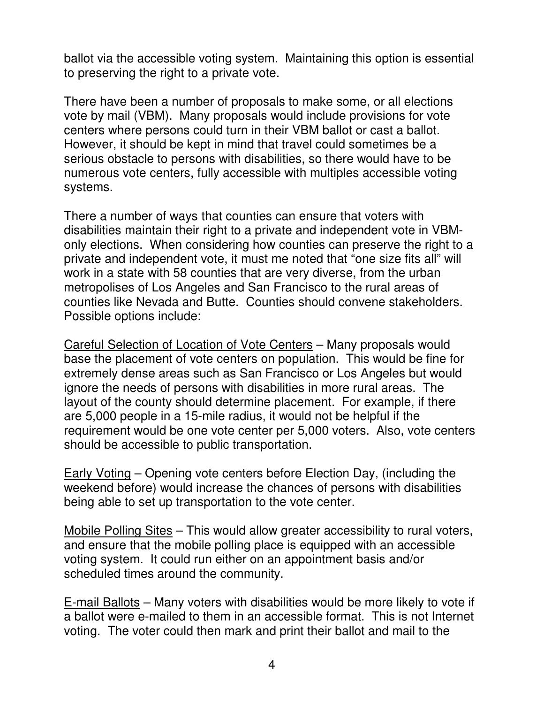ballot via the accessible voting system. Maintaining this option is essential to preserving the right to a private vote.

There have been a number of proposals to make some, or all elections vote by mail (VBM). Many proposals would include provisions for vote centers where persons could turn in their VBM ballot or cast a ballot. However, it should be kept in mind that travel could sometimes be a serious obstacle to persons with disabilities, so there would have to be numerous vote centers, fully accessible with multiples accessible voting systems.

There a number of ways that counties can ensure that voters with disabilities maintain their right to a private and independent vote in VBMonly elections. When considering how counties can preserve the right to a private and independent vote, it must me noted that "one size fits all" will work in a state with 58 counties that are very diverse, from the urban metropolises of Los Angeles and San Francisco to the rural areas of counties like Nevada and Butte. Counties should convene stakeholders. Possible options include:

Careful Selection of Location of Vote Centers – Many proposals would base the placement of vote centers on population. This would be fine for extremely dense areas such as San Francisco or Los Angeles but would ignore the needs of persons with disabilities in more rural areas. The layout of the county should determine placement. For example, if there are 5,000 people in a 15-mile radius, it would not be helpful if the requirement would be one vote center per 5,000 voters. Also, vote centers should be accessible to public transportation.

Early Voting – Opening vote centers before Election Day, (including the weekend before) would increase the chances of persons with disabilities being able to set up transportation to the vote center.

Mobile Polling Sites – This would allow greater accessibility to rural voters, and ensure that the mobile polling place is equipped with an accessible voting system. It could run either on an appointment basis and/or scheduled times around the community.

E-mail Ballots – Many voters with disabilities would be more likely to vote if a ballot were e-mailed to them in an accessible format. This is not Internet voting. The voter could then mark and print their ballot and mail to the